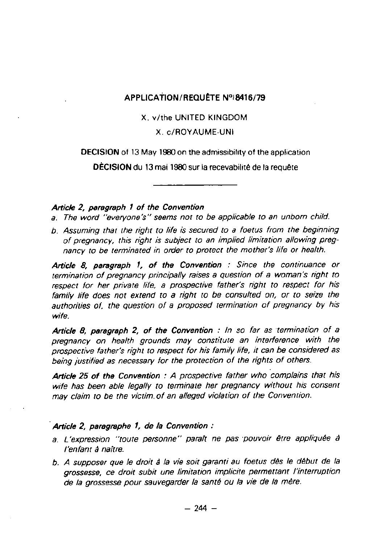## APPLICATION/REQUETE **N°18416/79**

#### X. v/the UNITED KINGDOM

## X . c/ROYAUME-UN <sup>I</sup>

## **DECISION** of 13 May 1960 on the admissibility of the application

**DÉCISION** du 13 mai 1980 **sur la recevabilité** de la requêt e

#### Article **2,** paragraph **1 of the Convention**

- a. The word "everyone's" seems not to be applicable to an unborn child.
- b. Assuming that the right to life is secured to a foetus from the beginning of pregnancy, this right is subject to an implied limitation allowing pregnancy to be terminated in order to protect the mother's life or health.

Article 8, paragraph **1, of the Convention** : Since the continuance or termination of pregnancy principally raises a question of a woman's right to respect for her private life, a prospective father's right to respect for his family life does not extend to a right to be consulted on, or to **seize the authorities** of, the question of a proposed termination of pregnancy by his **wife.**

Article 8, paragraph 2, of the Convention : In so far as termination of a pregnancy on health grounds may constitute an interference with the prospective father's right to respect for his family life, it can be considered as being justified as necessary for the protection of the rights of others.

Article 25 **of the Convention** : A prospective father who complains that his wife has been able legally to terminate her pregnancy without his consent may claim to be the victim of an alleged violation of the Convention.

## Article **2, paregraphe 1, de** la **Convention :**

- a . L'expression "toute personne" parait ne pas pouvoir être appliquée à l'enfant à naitre.
- b. A supposer que le droit à la vie soit garanti au foetus dés le début de la **grossesse,** ce droit subit une limitation implicite permettant l'interruption de la grossesse pour sauvegarder la santé ou la vie de la mère.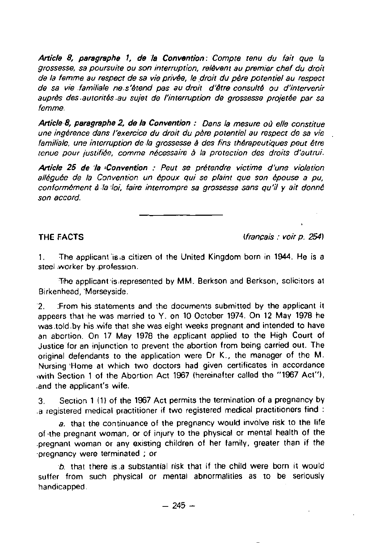Artic% **8, paragraphe 1, de** la **Convention :** Compte tenu du fait que la grossesse, sa poursuite ou son interruption, relèvent au premier chef du droit de la femme au respect de sa vie privée, le droit du père potentiel au respect de sa vie familiale ne.s'étend pas au droit d'être consulté ou d'intervenir auprès des .autorités .au sujet de l'interruption de grossesse projetée par sa femme.

**A**rt**ic%8, paragraphe** 2, de la **Convention** : Dans la mesure oJ elle constitue une ingérence dans l'exercice du droit du pére potentiel au respect de sa vie familiale, une interruption de la grossesse à des fins thérapeutiques peut être tenue pour justifiée, comme nécessaire é la protection des droits d'autrui .

Article 25 de 'la <sub>"</sub>Convention : Peut se prétendre victime d'une violation alléguée de la Convention un époux qui se plaint que son épouse a pu, conformément à la loi, faire interrompre sa grossesse sans qu'il y ait donné son accord.

THE FACTS **International Contract Contract Contract Contract Contract Contract Contract Contract Contract Contract Contract Contract Contract Contract Contract Contract Contract Contract Contract Contract Contract Contract** 

1. The applicant is a citizen of the United Kingdom born in 1944. He is a steel worker by .profession .

The applicant is represented by MM. Berkson and Berkson, solicitors at Birkenhead, Merseyside .

2 . :From his statements and the documents submitted by the applicant it appears that he was married to Y . on 10 October 1974 . On 12 May 1978 he was .told .by his wife that she was eight weeks pregnant and intended to have an abortion . On 17 May 1978 the applicant applied to the High Court of Justice for an injunction to prevent the abortion from being carried out . The original defendants to the application were Dr K., the manager of the M. Nursing 'Home at which two doctors had given certificates in accordance with Section 1 of the Abortion Act 1967 (hereinafter called the "1967 Act"), .and the applicant's wife .

<sup>3</sup> . Section 1 **(1)** of the 1967 Act permits the termination of a pregnancy by .a registered medical practitioner if two registered medical practitioners find :

a. that the continuance of the pregnancy would involve risk to the life of -the pregnant woman, or of injury to the physical or mental health of the .pregnant woman or any existing children of her family, greater than if the pregnancy were terminated ; or

b. that there is .a substantial risk that if the child were born it would suffer from such physical or mental abnormalities as to be seriously handicapped .  $- 245 -$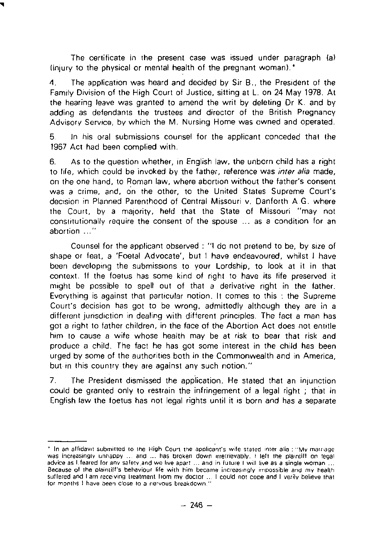The certificate in the present case was issued under paragraph (a) (injury to the physical or mental health of the pregnant woman).<sup>\*</sup>

4 . The application was heard and decided by Sir B ., the President of the Family Division of the High Court ot Justice, sitting at L . on 24 May 1978 . At the hearing leave was granted to amend the writ by deleting Dr K . and by adding as defendants the trustees and director of the British Pregnancy Advisory Service, by which the M . Nursing Home was owned and operated .

5 In his oral submissions counsel for the applicant conceded that the 1967 Act had been complied with.

6 . As to the question whether, in English law, the unborn child has a right to life, which could be invoked by the father, reference was *inter alia* made, on the one hand, to Roman law, where abortion without the father's consent was a crime, and, on the other, to the United States Supreme Court's decision in Planned Parenthood of Central Missouri v . Danforth AG . where the Court, by a majority, held that the State of Missouri "may not constitutionally require the consent of the spouse . . . as a condition for an abortion ..."

Counsel for the applicant observed :"I do not pretend to be, by size of shape or feat, a 'Foetal Advocate', but I have endeavoured, whilst I have been developing the submissions to your Lordship, to look at it in that context . If the foetus has some kind of right to have its life preserved it might be possible to spell out of that a derivative right in the father. Everything is against that particular notion . It comes to this i the Supreme Court's decision has got to be wrong, admittedly although they are in a different jurisdiction in dealing with different principles. The fact a man has got a right to father children, in the face of the Abortion Act does not entitle him to cause a wife whose health may be at risk to bear that risk and produce a child . The fact he has got some interest in the child has been urged by some of the authorities both in the Commonwealth and in America, but in this country they are against any such notion."

<sup>7</sup> . The President dismissed the application. He stated that an injunction could be granted only to restrain the infringement of a legal right ; that in English law the foetus has not legal rights until it is born and has a separate

<sup>&#</sup>x27; In an affidavit submirted ro ihe High Coun the apolicant's wife sraied inter **alia :** Mv mamage was increasingly unhappy ... and ... has broken down irretrievably. I left the plaintiff on legal advice as I feared for any safety and we live apart ... and in future I will live as a single woman ... Because of the plaintiff's behaviour life with him became increasingly impossible and my heall<del>l</del> **sullered and I am receiving Ireatment hom** my doctor . . I could noi cope and I verily believe that for months I have been close to a nervous breakdown.'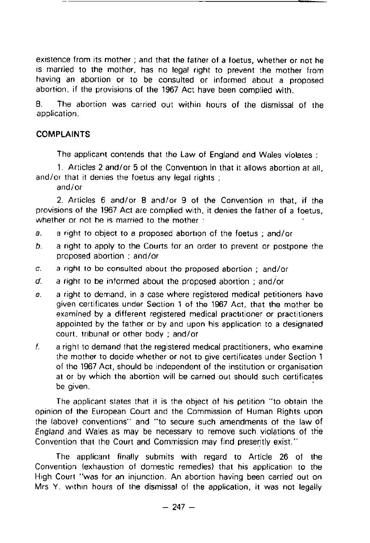existence from its mother ; and that the father of a foetus, whether or not he is married to the mother, has no legal right to prevent the mother from having an abortion or to be consulted or informed about a proposed abortion, if the provisions of the 1967 Act have been complied with.

8. The abortion was carried out within hours of the dismissal of the application .

# COMPLAINTS

The applicant contends that the Law of England and Wales violates :

1. Articles 2 and/or 5 of the Convention in that it allows abortion at all, and/or that it denies the foetus any legal rights :

and/or

<sup>2</sup> . Articles 6 and/or 8 and/or 9 of the Convention in that, if the provisions of the 1967 Act are complied with, it denies the father of a foetus, whether or not he is married to the mother :

- a. a right to object to a proposed abortion of the foetus; and/or
- $b<sub>1</sub>$  a right to apply to the Courts for an order to prevent or postpone the proposed abortion ; and/or
- $c.$  a right to be consulted about the proposed abortion ; and/or
- $d.$  a right to be informed about the proposed abortion ; and/or
- e. a right to demand, in a case where registered medical petitioners have given certificates under Section 1 of the 1967 Act, that the mother be examined by a different registered medical practitioner or practitioners appointed by the father or by and upon his application to a designated court, tribunal or other body ; and/or
- f. a right to demand that the registered medical practitioners, who examine the mother to decide whether or not to give certificates under Section 1 of the 1967 Act, should be independent of the institution or organisation at or by which the abortion will be carried out should such certificates be given.

The applicant states that it is the object of his petition "to obtain the opinion of the European Court and the Commission of Human Rights upon the (above) conventions" and "to secure such amendments of the law of England and Wales as may be necessary to remove such violations of the Convention that the Court and Commission may find presently exist ."

The applicant finally submits with regard to Article 26 of the Convention (exhaustion of domestic remedies) that his application to the High Court "was for an injunction . An abortion having been carried out on Mrs Y, within hours of the dismissal of the application, it was not legally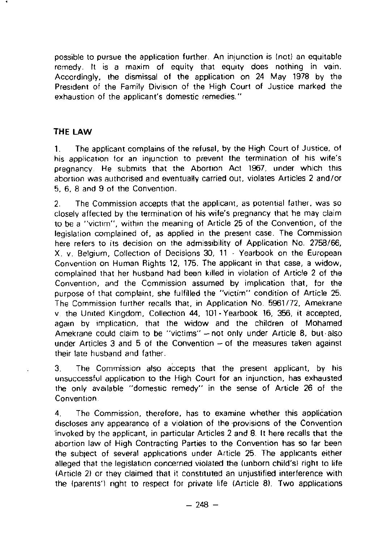possible to pursue the application further . An injunction is (not) an equitable remedy . It is a maxim of equity that equity does nothing in vain. Accordingly, the dismissal of the application on 24 May 1978 by the President of the Family Division of the High Court of Justice marked the exhaustion of the applicant's domestic remedies. "

# THE LAW

<sup>1</sup> . The applicant complains of the refusal, by the High Court of Justice, of his application for an injunction to prevent the termination of his wife's pregnancy . He submits that the Abortion Act 1967, under which this abortion was authorised and eventually carried out, violates Articles 2 and/or 5, 6, 8 and 9 of the Convention .

2 . The Commission accepts that the applicant, as potential father, was so closely affected by the termination of his wife's pregnancy that he may claim to be a "victim", within the meaning of Article 25 of the Convention, of the legislation complained of, as applied in the present case . The Commission here refers to its decision on the admissibility of Application No. 2758/66, X. v . Belgium, Collection of Decisions 30, 11 - Yearbook on the European Convention on Human Rights 12, 175 . The applicant in that case, a widow, complained that her husband had been killed in violation of Article 2 of the Convention, and the Commission assumed by implication that, for the purpose of that complaint, she fulfilled the "victim" condition of Article 25. The Commission further recalls that, in Application No. 5961/72, Amekrane v the United Kingdom, Collection 44, 101 -Yearbook 16, 356, it accepted, again by implication, that the widow and the children of Mohamed Amekrane could claim to be "victims" - not only under Article 8, but also under Articles  $3$  and  $5$  of the Convention  $-$  of the measures taken against their laie husband and father.

<sup>3</sup> . The Commission also accepts that the present applicant, by his unsuccessful application to the High Court for an injunction, has exhausted the only available "domestic remedy" in the sense of Article 26 of the Convention

4 . The Commission, therefore, has to examine whether this application discloses any appearance of a violation of the provisions of the Convention invoked by the applicant, in particular Articles 2 and 8 . It here recalls that the abortion law of High Contracting Parties to the Convention has so far been the subject of several applications under Article 25. The applicants either alleged that the legislation concerned violated the (unborn child's) right to life (Article 2) or they claimed that it constituted an unjustified interference with the Iparents') right to respect for private life (Article 8) . Two applications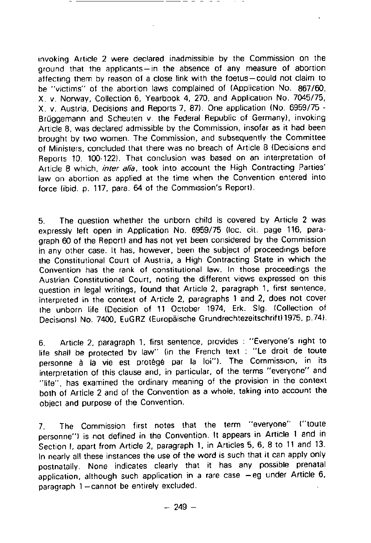invoking Article 2 were declared inadmissible by the Commission on the ground that the applicants-in the absence of any measure of abortion affecting them by reason of a close link with the foetus-could not claim to be "victims" of the abortion laws complained of (Application No. 867/60, <sup>X</sup> . v. Norway, Collection 6, Yearbook 4, 270, and Application No . 7045/75, <sup>X</sup> . v. Austria, Decisions and Reports 7, 87) . One application (No . 6959/75 - Brüggemann and Scheuten v. the Federal Republic of Germany), invoking Article 8, was declared admissible by the Commission, insofar as it had been brought by two women . The Commission, and subsequently the Committee of Ministers, concluded that there was no breach of Article 8 (Decisions and Reports 10, 100-122). That conclusion was based on an interpretation of Article 8 which, *inter alia*, took into account the High Contracting Parties' law on abortion as applied at the time when the Convention entered into force (ibid. p. 117, para. 64 of the Commission's Report).

<sup>5</sup> . The question whether the unborn child is covered by Article 2 was expressly left open in Application No. 6959/75 (loc. cit. page 116, paragraph 60 of the Report) and has not yet been considered by the Commission in any other case. It has, however, been the subject of proceedings before the Constitutional Court of Austria, a High Contracting State in which the Convention has the rank of constitutional law . In those proceedings the Austrian Constitutional Court, noting the different views expressed on this question in legal writings, found that Article 2, paragraph 1, first sentence, interpreted in the context of Article 2, paragraphs 1 and 2, does not cover the unborn life (Decision of 11 October 1974, Erk . Slg. (Collection of Decisions) No. 7400, EuGRZ (Europäische Grundrechtezeitschrift) 1975, p.74).

6. Article 2, paragraph 1, first sentence, provides : "Everyone's right to life shall be protected by law" (in the French text : "Le droit de toute personne à la vie est protégé par la loi"). The Commission, in its interpretation of this clause and, in particular, of the terms "everyone" and "life", has examined the ordinary meaning of the provision in the context both of Article 2 and of the Convention as a whole, taking into account the object and purpose of the Convention.

7. The Commission first notes that the term "everyone" ("toute personne'') is not defined in the Convention. It appears in Article 1 and in Section I, apart from Article 2, paragraph 1, in Articles 5, 6, 8 to 11 and 13. In nearly all these instances the use of the word is such that it can apply only postnatally. None indicates clearly that it has any possible prenatal application, although such application in a rare case  $-eg$  under Article  $6$ , paragraph 1-cannot be entirely excluded.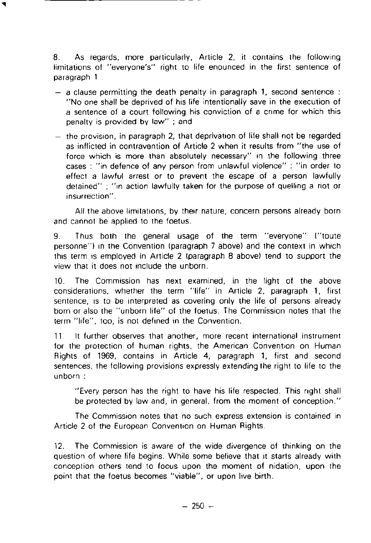<sup>8</sup> . As regards, more particularly, Article 2, it contains the following limitations of "everyone's" right to life enounced in the first sentence of paragraph <sup>1</sup>

- $-$  a clause permitting the death penalty in paragraph 1, second sentence : "No one shall be deprived of his life intentionally save in the execution of a sentence of a court following his conviction of a crime for which this penalty is provided by law" ; and
- the provision, in paragraph 2, that deprivation of life shall not be regarded as inflicted in contravention of Article 2 when it results from "the use of force which is more than absolutely necessary" in the following three cases : "in defence of any person from unlawful violence" : "in order to effect a lawful arrest or to prevent the escape of a person lawfully detained" ;"in action lawfully taken for the purpose of quelling a riot or insurrection" .

**All** the above limitations, by their nature, concern persons already born and cannot be applied to the foetus.

<sup>9</sup> . Thus both the general usage of the term "everyone" 1"toute personne"1 in the Convention (paragraph 7 above) and the context in which this term is employed in Article 2 Iparagraph 8 above) tend to support the view that it does not include the unborn.

<sup>10</sup> . The Commission has next examined, in the light of the above considerations, whether the term "life" in Article 2, paragraph 1, first sentence, is to be interpreted as covering only the life of persons already born or also the "unborn life" of the foetus . The Commission notes that the term "life", too, is not defined in the Convention .

**<sup>11</sup>** It further observes that another, more recent international instrument for the protection of human rights, the American Convention on Human Rights of 1969, contains in Article 4, paragraph 1, first and second sentences, the following provisions expressly extending the right to life to the unborn :

"Every person has the right to have his life respected . This right shall be protected by law and, in general, from the moment of conception."

The Commission notes that no such express extension is contained in Article 2 of the European Convention on Human Rights.

12. The Commission is aware of the wide divergence of thinking on the question of where life begins . While some believe that it starts already with conception others tend to focus upon the moment of nidation, upon the point that the foetus becomes "viable", or upon live birth.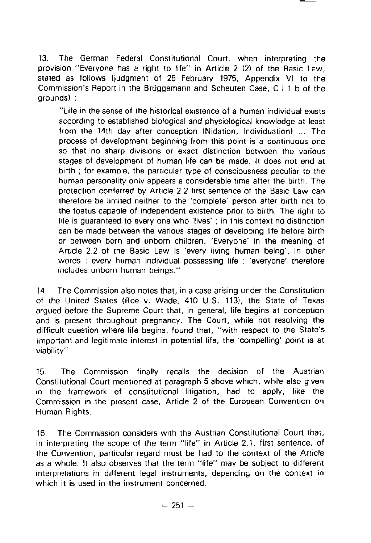13. The German Federal Constitutional Court, when interpreting the provision "Everyone has a right to life" in Article 2 121 of the Basic Law, stated as follows (judgment of 25 February 1975, Appendix VI to the Commission's Report in the Briiggemann and Scheuten Case, C I 1 b of the groundsl :

"Life in the sense of the historical existence of a human individual exists according to established biological and physiological knowledge at least from the 14th day after conception (Nidation, Individuation) ... The process of development beginning from this point is a continuous one so that no sharp divisions or exact distinction between the various stages of development of human life can be made . It does not end at birth ; for example, the particular type of consciousness peculiar to the human personality only appears a considerable time after the birth. The proteclion conferred by Article 2.2 first sentence of the Basic Law can therefore be limited neither to the 'complete' person after birth not to the foetus capable of independent existence prior to birth . The right to life is guaranteed to every one who 'lives' ; in this context no distinction can be made between the various stages of developing life before birth or between born and unborn children . 'Everyone' in the meaning of Article 2.2 of the Basic Law is 'every living human being', in other words : every human individual possessing life ; 'everyone' therefore includes unborn human beings."

14. The Commission also notes that, in a case arising under the Constitution of the United States (Roe v. Wade, 410 U.S. 113), the State of Texas argued before the Supreme Court that, in general, life begins at conception and is present throughout pregnancy . The Court, while not resolving the difficult question where life begins, found that, "with respect to the State's important and legitimate interest in potential life, the 'compelling' point is at viability".

<sup>15</sup> . The Commission finally recalls the decision of the Austrian Constitutional Court mentioned at paragraph 5 above which, while also given in the framework of constitutional litigation, had to apply, like the Commission in the present case, Article 2 of the European Convention on Human Rights .

16 . The Commission considers with the Austrian Constitutional Court that, in interpreting the scope of the term "life" in Article 2.1, first sentence, of the Convemion, particular regard must be had to the context of the Article as a whole. It also observes that the term "life" may be subject to different interpretations in different legal instruments, depending on the context in which it is used in the instrument concerned.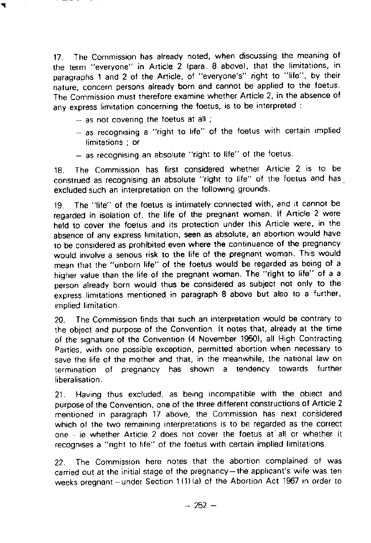<sup>17</sup> . The Commission has already noted, when discussing the meaning of the term "everyone" in Article 2 (para . 8 above), that the limitations, in paragraphs 1 and 2 of the Article, of "everyone's" right to "life", by their nature, concern persons already born and cannot be applied to the foetus. The Commission must therefore examine whether Article 2, in the absence of any express limitation concerning the foetus, is to be interpreted :

- $-$  as not covering the foetus at all;
- as recognising a "right to life" of the foetus with certain implied limitations ; or
- as recognising an absolute "right to life" of the foetus.

<sup>18</sup> . The Commission has first considered whether Article 2 is to be construed as recognising an absolute "right to life" of the foetus and has excluded such an interpretation on the following grounds .

19 . The "life" of the foetus is intimately connected with, and it cannot be regarded in isolation of, the life of the pregnant woman . If Article 2 were held to cover the foetus and its protection under this Article were, in the absence of any express limitation, seen as absolute, an abortion would have to be considered as prohibited even where the continuance of the pregnancy would involve a serious risk to the life of the pregnant woman . This would mean that the "unborn lifé" of the foetus would be regarded as being of a higher value than the life of the pregnant woman. The "right to life" of a a person already born would thus be considered as subject not only to the express limitations mentioned in paragraph 8 above but also to a further, implied limitation .

20 . The Commission finds that such an interpretation would be contrary to the object and purpose of the Convention. It notes that, already at the time of the signature of the Convention (4 November 1950), all High Contracting Parties, with one possible exception, permitted abortion when necessary to save the life of the mother and that, in the meanwhile, the national law on termination of pregnancy has shown a tendency towards further liberalisation.

<sup>21</sup> . Having thus excluded, as being incompatible with the obiect and purpose of the Convention, one of the three different constructions of Article 2 mentioned in paragraph 17 above, the Commission has next considered which of the two remaining interpretations is to be regarded as the correct one ie whether Article 2 does not cover the foetus at all or whether it recognises a "right to lifé' of the foetus with certain implied limitations .

<sup>22</sup> . The Commission **here notes that the abortion complained of was** carried **out at the initial stage of the pregnancy-the applicant's wife was ten** weeks pregnant-under Section 1(1) (a) of the Abortion Act 1967 in order to

 $-252 -$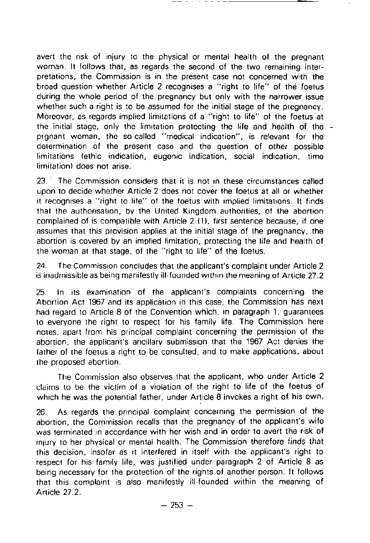avert the risk of injury to the physical or mental health of the pregnant woman. It follows that, as regards the second of the two remaining interpretations, the Commission is in the present case not concerned with the broad question whether Article 2 recognises a "right to life" of thé foetus during the whole period of the pregnancy but only with the narrower issue whether such a right is to be assumed for the initial stage of the pregnancy. Moreover, as regards implied limitations of a "right to life" of the foetus at the initial stage, only the limitation protecting the life and health of the prgnant woman, the so-called "medical indication", is relevant for the determination of the present case and the question of other possible limitations fethic indication, eugenic indication, social indication, time limitation) does not arise .

23 . The Commission considers that it is not in these circumstances called upon to decide whether Article 2 does not cover the foetus at all or whether it recognises a "right to lifé' of the foetus with implied limitations. It finds that the authorisation, by the United Kingdom authorities, of the abortion complained of is compatible with Article 2 **(1),** first sentence because, if one assumes that this provision applies at the initial stage of the pregnancy, the abortion is covered by an implied limitation, protecting the life and health of the woman at that stage, of the "right to life" of the foetus .

24. The Commission concludes that the applicant's complaint under Article 2 is inadmissible as being manifestly ill-founded within the meaning of Article 27.2

<sup>25</sup> . In its examination of the applicant's complaints concerning the Abortion Act 1967 and its application in this case, the Commission has next had regard to Article 8 of the Convention which, in paragraph 1, guarantees to everyone the right to respect for his family life. The Commission here notes, apart from his principal complaint concerning the permission of the abortion, the applicant's ancillary submission that the 1967 Act denies the lather of the foetus a right to be consulted, and to make applications, about the proposed abortion .

The Commission also observes that the applicant, who under Article 2 claims to be the victim of a violation of the right to life of the foetus of which he was the potential father, under Article 8 invokes a right of his own .

26. As regards the principal complaint concerning the permission of the abortion, the Commission recalls that the pregnancy of the applicant's wife was terminated in accordance with her wish and in order to avert the risk of injury to her physical or mental health . The Commission therefore finds that this decision, insofar as it interfered in itself with the applicant's right to respect for his family life, was justified under paragraph 2 of Article 8 as being necessary for the protection of the rights of another person . It follows that this complaint is also manifestly ill-founded within the meaning of Article 27.2.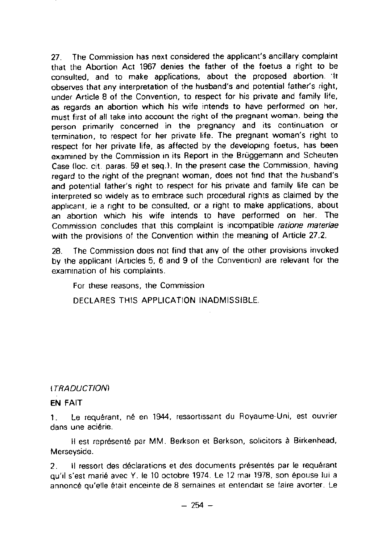27. The Commission has next considered the applicant's ancillary complaint that the Abortion Act 1967 denies the father ot the foetus a right to be consulted, and to make applications, about the proposed abortion . It observes that any interpretation of the husband's and potential father's right, under Article 8 of the Convention, to respect for his private and family life, as regards an abortion which his wife intends to have performed on her, must first of all take into account the right of the pregnant woman, being the person primarily concerned in the pregnancy and its continuation or termination, to respect for her private life. The pregnant woman's right to respect for her private life, as affected by the developing foetus, has been examined by the Commission in its Report in the Brüggemann and Scheuten Case (loc. cit. paras. 59 et seq.). In the present case the Commission, having regard to the right of the pregnant woman, does not find that the husband's and potential father's right to respect for his private and family life can be interpreted so widely as to embrace such procedural rights as claimed by the applicant, ie a right to be consulted, or a right to make applications, about an abortion which his wife intends to have performed on her. The Commission concludes that this complaint is incompatible ratione materiae with the provisions of the Convention within the meaning of Article 27.2.

28. The Commission does not find that any of the other provisions invoked by the applicant (Articles 5, 6 and 9 of the Convention) are relevant for the examination of his complaints.

For these reasons, the Commission

DECLARES THIS APPLICATION **INADMISSIBLE .**

## I TRADUCT/ONI

## **EN FAIT**

**<sup>1</sup> . Le requérant, né en 1944** , **ressortissant du Royaume-Uni, est ouvrier dans une aciérie .**

Il **est représenté par MM . Berkson et Berkson, solicitors** à **Birkenhead, Merseyside .**

**<sup>2</sup> . II ressort des déclarations et des documents présentés par le requérant qu'il s'est** marié avec Y . **le 10 octobre** 1974 . Le 12 mai 1978, **son épouse lui a annoncé qu'elle** é**tait enceinte de 8 semaines et entendait se faire avorter . Le**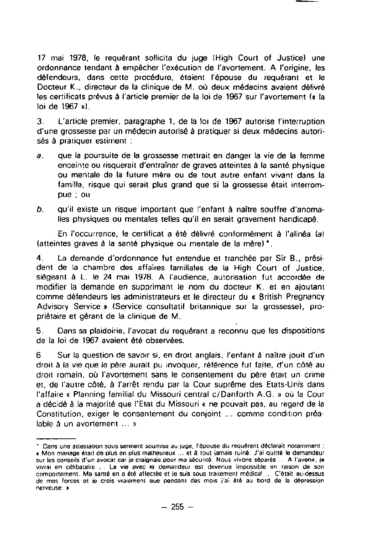17 mai 1978, le requérant sollicita du juge IHigh Court of Justice) une ordonnance tendant à empècher l'exécution de l'avortement . A l'origine, les difendeurs, dans cette procédure, étaient l'épouse du requérant et le Docteur K., directeur de la clinique de M. où deux médecins avaient délivré les certificats prévus **à** l'article premier de la loi de 1967 sur l'avortement la la loi de 1967 al .

3 . L'article premier, paragraphe 1, de la loi de 1967 autorise l'interruption d'une grossesse par un médecin autorisé à pratiquer si deux médecins autorisés **à** pratiquer estiment :

- $a<sub>z</sub>$  que la poursuite de la grossesse mettrait en danger la vie de la femme enceinte ou risquerait d'entrainer de graves atteintes **<sup>à</sup>** la santé physique ou mentale de la future mère ou de tout autre enfant vivant dans la famille, risque qui serait plus grand que si la grossesse était interrompue ; ou
- b. qu'il existe un risque important que l'enfant à naître souffre d'anomalies physiques ou mentales telles qu'il en serait gravement handicapé.

En l'occurrence, le certificat a été délivré conformément à l'alinéa (a) (atteintes graves **à** la santé physique ou mentale de la mérel' .

4 . La demande d'ordonnance fut entendue et tranchée par Sir B ., président de la chambre des affaires familiales de la High Court of Justice, siégeant **<sup>à</sup>** <sup>L</sup> . le 24 mai 1978. AI'audience, autorisation fut accordée de modifier la demande en supprimant le nom du docteur K . et en ajoutant comme défendeurs les administrateurs et le directeur du « British Pregnancy Advisory Service **»** (Service consultatif britannique sur la grossesse), propriétaire et gérant de la clinique de M .

5 . Dans sa plaidoirie, l'avocat du requérant a reconnu que les dispositions de la loi de 1967 avaient été observées .

**6** Sur la question de savoir si, en droit anglais, l'enfant **<sup>à</sup>** naitre jouit d'un droit **à** la vie que le pére aurait pu invoquer, référence fut faite, d'un côté au droit romain, où l'avortement sans le consentement du pére était un crime et, de l'autre c0té, **<sup>à</sup>** l'arrêt rendu par la Cour suprême des Etats-Unis dans l'affaire a Planning familial du Missouri central c/Danforth A .G . n où la Cour a décidé à la majorité que l'Etat du Missouri **«** ne pouvait pas, au regard de la Constitution, exiger le consentement du conjoint ... comme condition préalable  $\lambda$  un avortement ... »

<sup>-</sup> Dans une atteslation sous serment soumise au Îuge, l'épouse du requérant déclarait noramment : . Mon mariage était de olus en plus mameureua . . . et à toul iamais ruiné . J'ai ouitté le demandeur **sur les** conseils d'un avocat **car ie craignais pour** ma sécuriié Nous vivons séparés . A l'avenir, je viviai en célibataire ... La vie avec le demandeur est devenue impossible en raison de son comportement. Ma santé en a été affectée et je suis sous traitement médical ... C'était au-dessus de mes forces et je crois vraiemenl nue pendani des mois i'ai été au bord de la déoression nerveuse »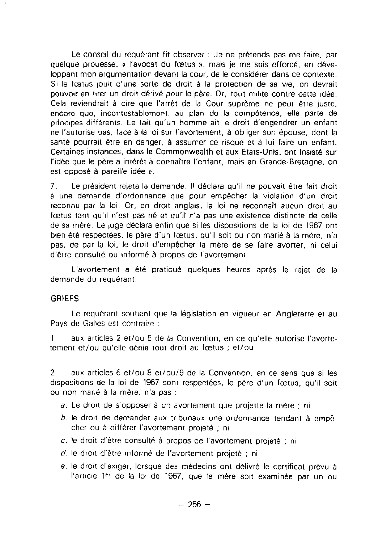Le conseil du requérant fit observer : Je ne prétends pas me faire, par quelque prouesse, « l'avocat du fcetus », mais je me suis efforcé, en développant mon argumentation devant la cour, de le considérer dans ce contexte . Si le fcetus jouit d'une sorte de droit à la protection de sa vie, on devrait pouvoir en tirer un droit dérivé pour le père . Or, tout milite contre cette idée . Cela reviendrait à dire que l'arrêt de la Cour suprême ne peut ètre juste, encore que, incontestablement . au plan de la compétence, elle parte de principes différents . Le fait qu'un homme ait le droit d'engendrer un enfant ne l'autorise pas, face à la loi sur l'avortement, à obliger son épouse, dont la santé pourrait être en danger, à assumer ce risque et à lui faire un enfant. Certaines instances, **dans** le Commonwealth **et aux** Etats-Unis, ont insisté sur l'idée que le pére a intérèt à connaître l'enfant, mais en Grande-Bretagne, on est opposé à pareille idée ».

**7** Le président rejeta la demande . **Il** déclara qu'il ne pouvait ètre fait droit **<sup>à</sup>** une demande d'ordonnance que pour empêcher la violation d'un droit reconnu par la loi Or, en droit anglais, la loi ne reconnait aucun droit au fcætus tant qu'il n'est pas né et qu'il n'a pas une existence distincte de celle de sa mére. Le juge déclara enfin que si les dispositions de la loi de 1967 ont bien été respectées, le pére d'un fcatus, qu'il soit ou non marié à la mère, n'a pas, de par la loi, le droit d'empécher la mére de se faire avorter, ni celui d'être consulté ou informé à propos de l'avortement.

L'avortement a été pratiqué quelques heures aprés le rejet de la demande du requérant

## **GRIEFS**

Le requérant souttent que **la législation en** vigueur en Angleterre et au Pays de Galles est contraire :

1 aux articles 2 et/ou 5 de la Convention, en ce qu'elle autorise l'avortetement et/ou qu'elle dénie tout droit au fœtus ; et/ou

2 aux articles 6 et/ou 8 et/ou/9 de la Convention, en ce sens que si les dispositions de la loi de 1967 sont respectées, le pére d'un fœtus, qu'il soit ou non marié à la mére . n'a pas

- a . Le droit de s'opposer **à** un avortement que projette la mére ; ni
- b. le droit de demander aux tribunaux une ordonnance tendant **à** empêcher ou **à** différer l'avortement projeté ; ni
- c. le droit d'ètre consulté **<sup>à</sup>** propos de l'avortement projeté ; ni
- d. le droit d'ètre informé de l'avortement projeté ; ni
- e . le droit d'exiger, lorsque des médecins ont délivré le certificat prévu **<sup>à</sup>** l'article 1er de la loi de 1967, que la mère soit examinée par un ou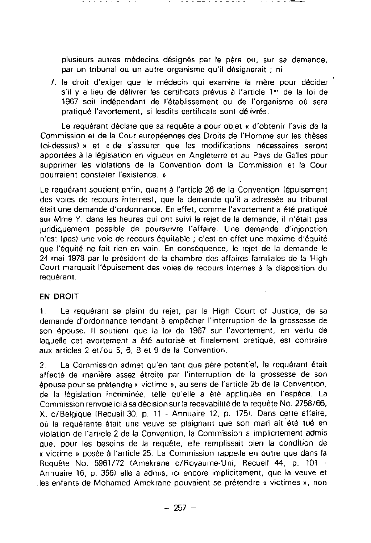plusieurs autres médecins désignés par le pére ou, sur sa demande, par un tribunal ou un autre organisme qu'il désignerait ; ni

**f.** le droit d'exiger que le médecin qui examine la mére pour décider s'il y a lieu de délivrer les certificats prévus **à** l'article 1^ de la loi de 1967 soit indépendant de l'établissement ou de l'organisme où sera pratiqué l'avortement, si lesdits certificats sont délivrés.

Le requérant déclare que sa requête a pour objet « d'obtenir l'avis de la Commission et de la Cour européennes des Droits de l'Homme sur les théses Ici-dessusf **»** et « de s'assurer que les modifications nécessaires seront apportées **à** la législation en vigueur en Angleterre et au Pays de Galles pour supprimer les violations de la Convention dont la Commission et la Cour pourraient constater l'existence. »

Le requérant soutient enfin, quant **<sup>à</sup>** l'article 26 de la Convention fépuisement des voies de recours internesl, que la demande qu'il a adressée au tribunal était une demande d'ordonnance . En effet, comme l'avortement a été pratiqué sur Mme Y . dans les heures qui ont suivi le rejet de la demande, il n'était pas juridiquement possible de poursuivre l'affaire . Une demande d'injonction n'est (pas) une voie de recours équitable ; c'est en effet une maxime d'équité que l'équité ne fait rien en vain . En conséquence, le rejet de la demande le 24 mai 1978 par le président de la chambre des affaires familiales de la High Court marquait l'épuisement des voies de recours internes à la disposition du requérant.

## **EN DROIT**

<sup>1</sup> . Le requérant se plaint du rejet, par la High Court of Justice, de sa demande d'ordonnance tendant **à** empècher l'interruption de la grossesse de son épouse. **Il** soutient que la loi de 1967 sur l'avortement, en vertu de laquelle cet avortement a été autorisé et finalement pratiqué, est contraire aux articles 2 et/ou 5, 6, 8 et 9 de la Convention

2. La Commission admet qu'en tant que père potentiel, le requérant était affecté de maniére assez étroite par l'interruption de la grossesse de son épouse pour se prétendre **«** victime **»,** au sens de l'article 25 de la Convention, de la législation incriminée, telle qu'elle a été appliquée en l'espéce . La Commission renvoie ici à sa décision sur la recevabilité de la requête No . 2758/66, X. c/Belgique (Recueil 30, p. 11 - Annuaire 12, p. 175). Dans cette affaire, où la requérante était une veuve se plaignant que son mari ait été tué en violation de l'article 2 de la Convention, la Commission a implicitement admis que, pour les besoins de la requéte, elle remplissait bien la condition de « victime **»** posée **à** l'article 25 . La Commission rappelle en outre que dans la Requête No. 5961/72 (Amekrane c/Royaume-Uni, Recueil 44, p. 101 -Annuaire 16, p. 3561 elle a admis, ici encore implicitement, que la veuve et les enfants de Mohamed Amekrane pouvaient se prétendre « victimes **»,** non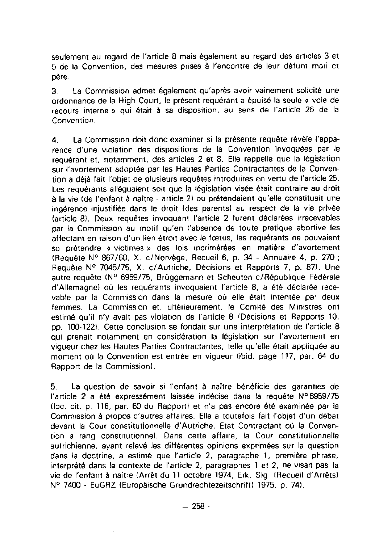seulement au regard de l'article 8 mais également au regard des articles 3 et 5 de la Convention, des mesures prises à l'encontre de leur défunt mari et pére.

**3** La Commission admet également qu'après avoir vainement solicité une ordonnance de la High Court, le présent requérant a épuisé la seule **«** voie de recours interne **»** qui était **<sup>à</sup>** sa disposition, au sens de l'article 26 de la Convention.

4 . La Commission doit donc examiner si la présente requète révéle l'apparence d'une violation des dispositions de la Convention invoquées par le requérant et, notamment, des articles 2 et 8. Elle rappelle que la législation sur l'avortement adoptée par les Hautes Parties Contractantes de la Convention a déjà fait l'objet de plusieurs requêtes introduites en vertu de l'article 25 . Les requérants alléguaient soit que la législation visée était contraire au droit **à** la vie Ide l'enfant **à** naitre - article 21 ou prétendaient qu'elle constituait une ingérence injustifiée dans le droit Ides parents) au respect de la vie privée (article 8). Deux requêtes invoquant l'article 2 furent déclarées irrecevables par la Commission au motif qu'en l'absence de toute pratique abortive les affectant en raison d'un lien étroit avec le fcetus, les requérants ne pouvaient se prétendre **«** victimes » des lois incrimérées en matière d'avortement (Requête N° 867/60, X. c/Norvège, Recueil 6, p. 34 - Annuaire 4, p. 270 ; Requête N° 7045/75, X. c/Autriche, Décisions et Rapports 7, p. 87). Une autre requête IN° 6959/75, Brüggemann et Scheuten c/République Fédérale d'Allemagnel où les requérants invoquaient l'article 8, a été déclarée recevable par la Commission dans la mesure où elle était intentée par deux femmes . La Commission et, ultérieurement, le Comité des Ministres ont estimé qu'il n'y avait pas violation de l'article 8 IDécisions et Rapports 10, pp. 100-122) . Cette conclusion se fondait sur une interprétation de l'article 8 qui prenait notamment en considération la législation sur l'avortement en vigueur chez les Hautes Parties Contractantes, telle qu'elle était appliquée au moment où la Convention est entrée en vigueur (ibid . page 117, par . 64 du Rapport de la Commissionl .

<sup>5</sup> . La question de savoir si l'enfant **<sup>à</sup>** naître bénéficie des garanties de l'article 2 a été expressément laissée indécise dans la requéte N°6959/75 Iloc . cit. p. 116, par. 60 du Rapport) et n'a pas encore été examinée par la Commission **à** propos d'autres affaires . Elle a toutefois fait l'objet d'un débat devant la Cour constitutionnelle d'Autriche, Etat Contractant où la Convention a rang constitutionnel . Dans cette affaire, la Cour constitutionnelle autrichienne, ayant relevé les différentes opinions exprimées sur la question dans la doctrine, a estimé que l'article 2, paragraphe 1, premiére phrase, interprété dans le contexte de l'article 2, paragraphes 1 et 2, ne visait pas la vie de l'enfant **<sup>à</sup>** naitre (Arrêt du 11 octobre 1974, Erk . **Slg** (Recueil d'Arrêts) N° 7400 - EuGRZ (Européische Grundrechtezeitschrift) 1975, p . 74) .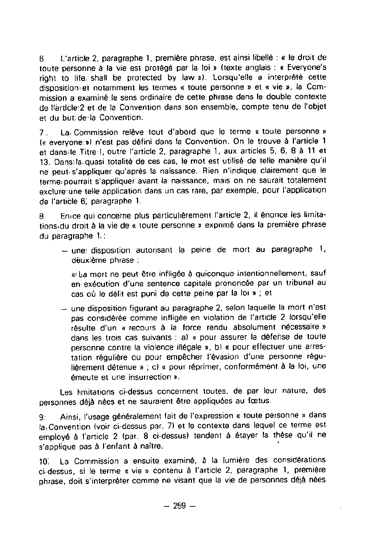**6 . L'article 2, paragraphe 1, premiére phrase, est ainsi libellé** « **le droit de** toute personne à la vie est protégé par la loi » (texte anglais : « Everyone's **right to life. shall be protected by law »). Lorsqu'elle a interprété cette disposition** , **et notamment les termes « toute personne » et « vie », la Commission aexaminé le sens ordinaire de cette phrase dans le double contexte de I**<sup>l</sup> **ârtlcle•2 et de la Convention dans son ensemble, compte tenu de l'objet et du but:dela** Convention .

<sup>7</sup> . . La. Cbmmission **reléve tout d'abord que le terme « toute personne »** ( **« everyone :») n'est pas défini dans la Convention .** On **le trouve à l'article 1** et dans-le Titre I, outre l'article 2, paragraphe 1, aux articles 5, 6, 8 à 11 et **<sup>13</sup> . Dans:la .quasi totalité de ces cas, le mot est utilisé de telle maniére qu'il ne peut• s'appliquer qu'aprés la naissance . Rien n'indique clairement que le terme :pourrait s'appliquer avant la naissance, mais on ne saurait totalement** exclure une telle application dans un cas rare, par exemple, pour l'application **de** l'artible **6 ; paragraphe 1 .**

8. En<sub>ice qui concerne plus particulièrement l'article 2, il énonce les limita-</sub> **tions•dudroit** <sup>à</sup> **la vie de « toute personne » exprimé dans la premiére phrase du paragraphe 1 . :**

**- une: disposition autorisant la peine de mort au paragraphe 1, déuxiéme phrase :**

« La mort ne peut être infligée à quiconque intentionnellement, sauf enexécution d'une sentence capitale prononcée par un tribunal au cas où le délit est puni de cette peine par la loi » ; et

- une disposition figurant au paragraphe 2, selon laquelle la mort n'est pas considérée comme infligée en violation de l'article 2 lorsqu'elle résulte d'un a recours à la force rendu absolument nécessaire » dans les trois cas suivants : a) « pour assurer la défense de toute personne contre la violence illégale », b) « pour effectuer une arrestation réguliére ou pour empêcher l'évasion d'une personne réguliérement détenue » ; c) « pour réprimer, conformément à la loi, une émeute et une insurrection » .

Les limitations ci-dessus concernent toutes, de par leur nature, des personnes déjà nées et ne sauraient être appliquées au fœtus.

9: Ainsi, l'usage généralement fait de l'expression « toute personne » dans la. Convention (voir ci-dessus par. 7) et le contexte dans lequel ce terme est employé à l'article 2 (par. 8 ci-dessus) tendent à étayer la thèse qu'il ne s'applique pas **à** l'enfant **à** naître.

10 . La Commission a ensuite examiné, à la lumiére des considérations ci-dessus, si le terme « vie » contenu à l'article 2, paragraphe 1, premiére phrase, doit s'interpréter comme ne visant que la vie de personnes déjé nées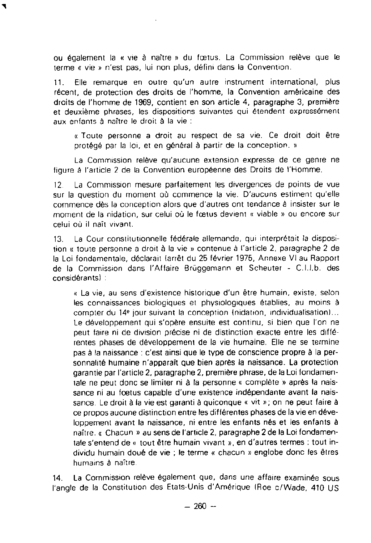ou également la **«** vie à naitre n du fcetus . La Commission relève que le terme **«** vie **»** n'est pas, lui non plus, défini dans la Convention .

<sup>11</sup> . Elle remarque en outre qu'un autre instrument international, plus récent, de protection des droits de l'homme, la Convention américaine des droits de l'homme de 1969, contient en son article 4, paragraphe 3, premiére et deuxiéme phrases, les dispositions suivantes qui étendent expressément aux enfants **à** naitre le droit **<sup>à</sup>** la vie

**«** Toute personne a droit au respect de sa vie . Ce droit doit étre protégé par la loi, et en général à partir de la conception. <sup>n</sup>

La Commission relève qu'aucune extension expresse de ce genre ne figure **à** l'article 2 de la Convention européenne des Droits de l'Homme .

12 La Commission mesure parfaitement les divergences de points de vue sur la question du moment où commence la vie . D'aucuns estiment qu'elle commence dès la conception alors que d'autres ont tendance **à** insister sur le moment de la nidation, sur celui où le fœtus devient **«** viable **»** ou encore sur celui où il naît vivant.

13 . La Cour constitutionnelle fédérale allemande, qui interprétait la disposition **«** toute personne a droit à la vie n contenue à l'article 2, paragraphe 2 de la Loi fondamentale, déclarait (arrêt du 25 février 1975, Annexe VI au Rapport de la Commission dans l'Affaire Brüggemann et Scheuter - C.I.I.b. des considérantsl :

« La vie, au sens d'existence historique d'un être humain, existe, selon les connaissances biologiques et physiologiques établies, au moins **à** compter du 14<sup>e</sup> jour suivant la conception (nidation, individualisation)... Le développement qui s'opére ensuite est continu, si bien que l'on ne peut faire ni de division précise ni de distinction exacte entre les différentes phases de développemem de la vie humaine . Elle ne se termine pas à la naissance : c'est ainsi que le type de conscience propre à la personnalité humaine n'apparait que bien après la naissance. La protection garantie par l'article 2, paragraphe 2, premiére phrase, de la Loi fondamentale ne peut donc se limiter ni à la personne « complète » après la naissance ni au foetus capable d'une existence indépendante avant la naissance. Le droit à la vie est garanti à quiconque « vit »; on ne peut faire à ce propos aucune distinction entre les différentes phases de la vie en développement avant la naissance, ni entre les enfants nés et les enfants à naître, « Chacun » au sens de l'article 2, paragraphe 2 de la Loi fondamentale s'entend de « tout être humain vivant », en d'autres termes : tout individu humain doué de vie ; le terme « chacun » englobe donc les êtres humains **<sup>à</sup>** naitre

14 . La Commission reléve également que, dans une affaire examinée sous l'angle de la Constitution des Etats-Unis d'Amérique (Roe c/Wade, 410 US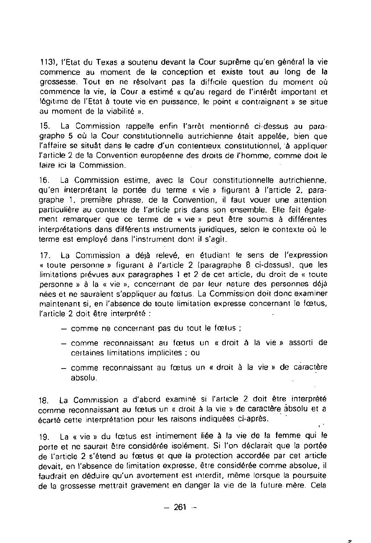**113),** l'Etat du Texas a soutenu devant la Cour suprême qu'en général la vie commence au moment de la conception et existe tout au long de la grossesse . Tout en ne résolvant pas la difficile question du moment où commence la vie, la Cour a estimé « qu'au regard de l'intérét important et légitime de l'Etat à toute vie en puissance, le point « contraignant » se situe au moment de la viabilité ».

15 . La Commission rappelle enfin l'arrêt mentionné ci-dessus au paragraphe 5 où la Cour constitutionnelle autrichienne était appelée, bien que l'affaire se situAt dans le cadre d'un contentieux constitutionnel, **<sup>à</sup>** appliquer l'article 2 de la Convention européenne des droits de l'homme, comme doit le faire ici la Commission

16. La Commission estime, avec la Cour constitutionnelle autrichienne, qu'en interprétant la portée du terme « vie **»** figurant **à** l'article 2, paragraphe 1, premiére phrase, de la Convention, il faut vouer une attention particulière au contexte de l'article pris dans son ensemble . Elle fait également remarquer que ce terme de « vie **»** peut être soumis à différentes interprétations dans différents instruments juridiques, selon le contexte où le terme est employé dans l'instrument dont il s'agit .

17. La Commission a déjà relevé, en étudiant le sens de l'expression « toute personne **»** figurant **à** l'article 2 (paragraphe **8** ci-dessusl, que les limitations prévues aux paragraphes 1 et 2 de cet article, du droit de « toute personne **»** à la « vie », concernant de par leur nature des personnes déjà nées et ne sauraient s'appliquer au fcetus . La Commission doit donc examiner maintenant si, en l'absence de toute limitation expresse concernant le fœtus, l'article 2 doit être interprété

- $-$  comme ne concernant pas du tout le fœtus ;
- comme reconnaissant au fcetus un « droit **à** la vie » assorti de certaines limitations implicites ; ou
- $-$  comme reconnaissant au fœtus un « droit à la vie » de caractère absolu.

<sup>18</sup> . La Commission a d'abord examiné si l'article 2 doit étre interprété comme reconnaissant au fœtus un « droit à la vie » de caractére absolu et a écarté cette interprétation pour les raisons indiquées ci-aprés

19. La « vie » du fœtus est intimement liée à la vie de la femme qui le porte et ne saurait être considérée isolément. Si l'on déclarait que la portée de l'article 2 s'étend au fœtus et que la protection accordée par cet article devait, en l'absence de limitation expresse, être considérée comme absolue, il faudrait en déduire qu'un avortement est interdit, mème lorsque la poursuite de la grossesse mettrait gravement en danger la vie de la future mère. Cela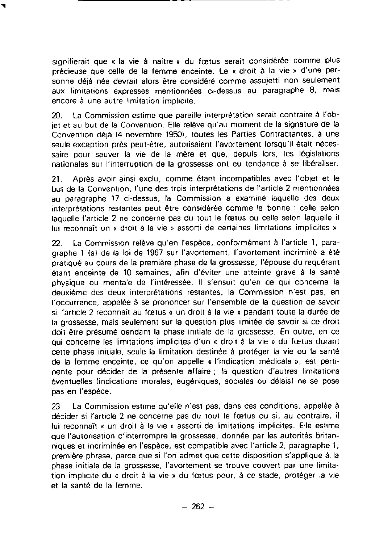signifierait que **«** la vie **<sup>à</sup>** naître **»** du foetus serait considérée comme plus précieuse que celle de la femme enceinte . Le « droit à la vie **»** d'une personne déjà née devrait alors être considéré comme assujetti non seulement aux limitations expresses mentionnées ci-dessus au paragraphe 8, mais encore à une autre limitation implicite .

20 . La Commission estime que pareille interprétation serait contraire **à** l'ob**jet** et au but de la Convention . Elle reléve qu'au moment de la signature de la Convention déjà (4 novembre **1950),** toutes les Parties Contractantes, à une seule exception prés peut-être, autorisaient l'avortement lorsqu'il était nécessaire pour sauver la vie de la mére et que, depuis lors, les législations nationales sur l'interruption de la grossesse ont eu tendance à se libéraliser .

<sup>21</sup> . Aprés avoir ainsi exclu, comme étant incompatibles avec l'objet et le but de la Convention, l'une des trois interprétations de l'article 2 mentionnées au paragraphe 17 ci-dessus, la Commission a examiné laquelle des deux interprétations restantes peut être considérée comme la bonne : celle selon laquelle l'article 2 ne concerne pas du tout le fcetus ou celle selon laquelle il lui reconnaît un **«** droit à la vie **»** assorti de cenaines limitations implicites **»**

22 . La Commission relève qu'en l'espéce, conformément à l'article 1, paragraphe 1 (a) de la loi de 1967 sur l'avortement, l'avortement incriminé a été pratiqué au cours de la première phase de la grossesse, l'épouse du requérant étant enceinte de 10 semaines, afin d'éviter une atteinte grave **<sup>à</sup>** la santé physique ou mentale de l'intéressée . II s'ensuit qu'en ce qui concerne la deuxième des deux interprétations restantes, la Commission n'est pas, en l'occurrence, appelée à se prononcer sur l'ensemble de la question de savoir si l'anicle 2 reconnaît au fcetus **«** un droit à la vie **»** pendant toute la durée de la grossesse, mais seulement sur la question plus limitée de savoir si ce droit doit &tre présumé pendant la phase initiale de la grossesse . En outre, en ce qui concerne les limitations implicites d'un **«** droit à la vie **»** du fœtus durant cette phase initiale, seule la limitation destinée à protéger la vie ou la santé de la femme enceinte, ce qu'on appelle « l'indication médicale **»,** est pertinente pour décider de la présente affaire ; la question d'autres limitations éventuelles (indications morales, eugéniques, sociales ou délais) ne se pose pas en l'espéce .

23 . La Commission estime qu'elle n'est pas, dans ces conditions, appelée **à** décider si l'article 2 ne concerne pas du tout le fcetus ou si, au contraire, il lui reconnaît « un droit à la vie » assorti de limitations implicites. Elle estime que l'autorisation d'interrompre la grossesse, donnée par les autorités britanniques et incriminée en l'espéce, est compatible avec l'article 2, paragraphe 1, première phrase, parce que si l'on admet que cette disposition s'applique à .la phase initiale de la grossesse, l'avortement se trouve couvert par une limitation implicite du « droit à la vie » du fœtus pour, à ce stade, protéger la vie et la santé de la femme.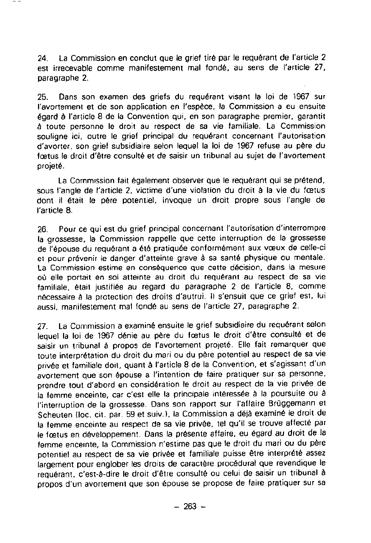24. La Commission en conclut que le grief tiré par le requérant de l'article 2 est irrecevable comme manifestement mal fondé, au sens de l'article 27, paragraphe 2.

25. Dans son examen des griefs du requérant visant la loi de 1967 sur l'avortement et de son application en l'espéce, la Commission a eu ensuite égard **à** l'article 8 de la Convention qui, en son paragraphe premier, garantit **<sup>à</sup>** toute personne le droit au respect de sa vie familiale . La Commission souligne ici, outre le grief principal du requérant concernant l'autorisation d'avorter, son grief subsidiaire selon lequel la loi de 1967 refuse au pére du foetus le droit d'être consulté et de saisir un tribunal au sujet de l'avortement projeté .

La Commission fait également observer que le requérant qui se prétend, sous l'angle de l'article 2, victime d'une violation du droit à la vie du fœtus dont il était le pére potentiel, invoque un droit propre sous l'angle de l'article **S .**

26 . Pour ce qui est du grief principal concernant l'autorisation d'interrompre la grossesse, la Commission rappelle que cette interruption de la grossesse de l'épouse du requérant a été pratiquée conformément aux vœux de celle-ci et pour prévenir le danger d'atteinte grave à sa santé physique ou mentale. La Commission estime en conséquence que cette décision, dans la mesure où elle portait en soi atteinte au droit du requérant au respect de sa vie familiale, était justifiée au regard du paragraphe 2 de l'article 8, comme nécessaire **<sup>à</sup>** la protection des droits d'autrui . **Il** s'ensuit que ce grief est, lui aussi, manifestement mal fondé au sens de l'article 27, paragraphe 2.

27. La Commission a examiné ensuite le grief subsidiaire du requérant selon lequel la loi de 1967 dénie au père du fœtus le droit d'être consulté et de saisir un tribunal **<sup>à</sup>** propos de l'avortement projeté . Elle fait remarquer que toute interprétation du droit du mari ou du père potentiel au respect de sa vie privée et familiale doit, quant **à** l'article 8 de la Convention, et s'agissant d'un avortement que son épouse a l'intention de faire pratiquer sur sa personne, prendre tout d'abord en considération le droit au respect de la vie privée de la femme enceinte, car c'est elle la principale intéressée à la poursuite ou **à** l'interruption de la grossesse . Dans son rapport sur l'atfaire Brüggemann et Scheuten Iloc . cit. par . 59 et suiv .l, la Commission a **déjà** examiné le droit de la femme enceinte au respect de sa vie privée, tel qu'il se trouve affecté par le fœtus en développement. Dans la présente affaire, eu égard au droit de la femme enceinte, la Commission n'estime pas que le droit du mari ou du pére potentiel au respect de sa vie privée et familiale puisse @tre interprété assez largement pour englober les droits de caractére procédural que revendique le requérant, c'est-à-dire le droit d'étre consulté ou celui de saisir un tribunal à propos d'un avortement que son épouse se propose de faire pratiquer sur sa